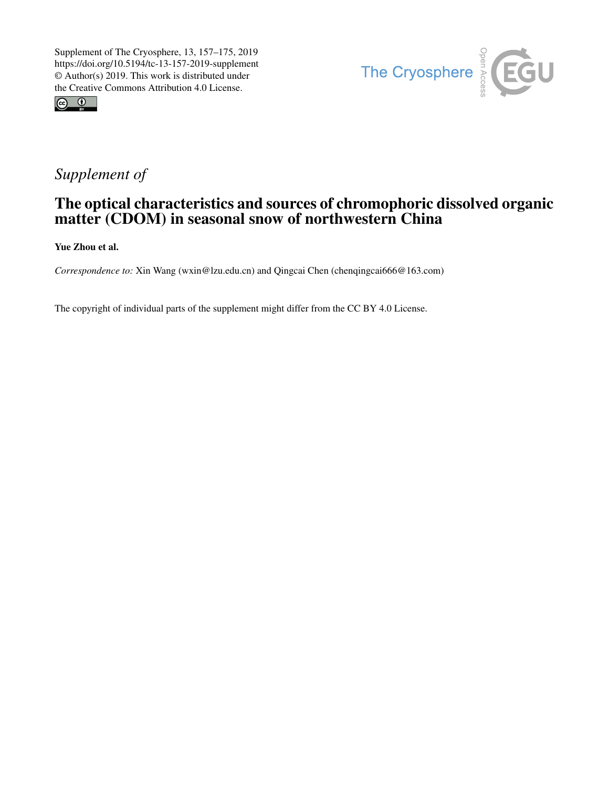



# *Supplement of*

## The optical characteristics and sources of chromophoric dissolved organic matter (CDOM) in seasonal snow of northwestern China

Yue Zhou et al.

*Correspondence to:* Xin Wang (wxin@lzu.edu.cn) and Qingcai Chen (chenqingcai666@163.com)

The copyright of individual parts of the supplement might differ from the CC BY 4.0 License.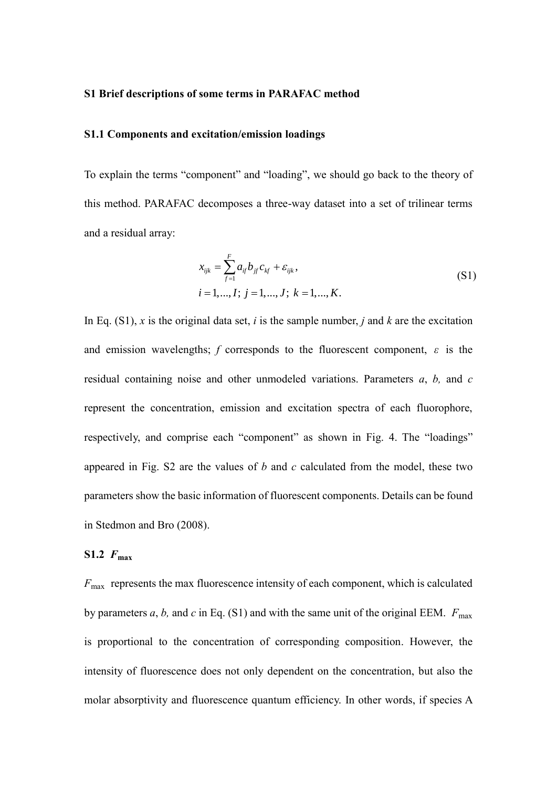#### **S1 Brief descriptions of some terms in PARAFAC method**

#### **S1.1 Components and excitation/emission loadings**

To explain the terms "component" and "loading", we should go back to the theory of this method. PARAFAC decomposes a three-way dataset into a set of trilinear terms and a residual array:

$$
x_{ijk} = \sum_{f=1}^{F} a_{if} b_{jf} c_{kf} + \varepsilon_{ijk},
$$
  
\n $i = 1, ..., I; j = 1, ..., J; k = 1, ..., K.$  (S1)

In Eq. (S1), *x* is the original data set, *i* is the sample number, *j* and *k* are the excitation and emission wavelengths; *f* corresponds to the fluorescent component,  $\varepsilon$  is the residual containing noise and other unmodeled variations. Parameters *a*, *b,* and *c* represent the concentration, emission and excitation spectra of each fluorophore, respectively, and comprise each "component" as shown in Fig. 4. The "loadings" appeared in Fig. S2 are the values of *b* and *c* calculated from the model, these two parameters show the basic information of fluorescent components. Details can be found in Stedmon and Bro (2008).

### $S1.2$   $F_{\text{max}}$

*F*max represents the max fluorescence intensity of each component, which is calculated by parameters *a*, *b*, and *c* in Eq. (S1) and with the same unit of the original EEM.  $F_{\text{max}}$ is proportional to the concentration of corresponding composition. However, the intensity of fluorescence does not only dependent on the concentration, but also the molar absorptivity and fluorescence quantum efficiency. In other words, if species A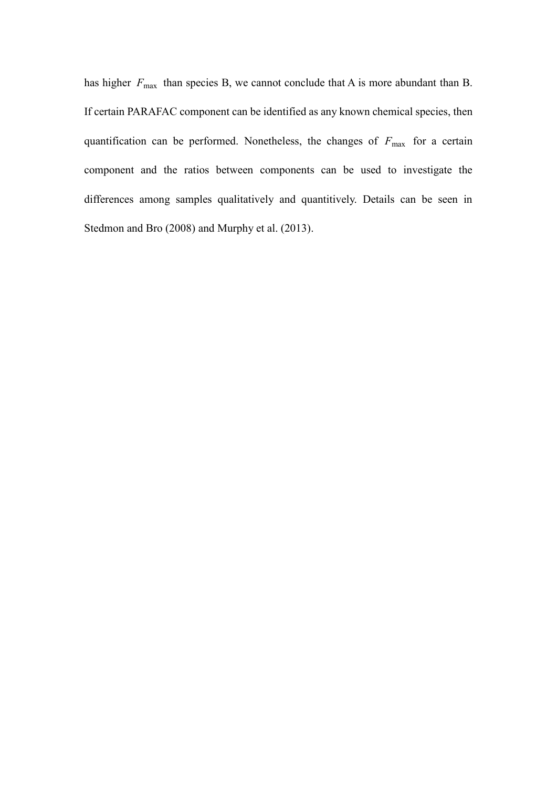has higher  $F_{\text{max}}$  than species B, we cannot conclude that A is more abundant than B. If certain PARAFAC component can be identified as any known chemical species, then quantification can be performed. Nonetheless, the changes of  $F_{\text{max}}$  for a certain component and the ratios between components can be used to investigate the differences among samples qualitatively and quantitively. Details can be seen in Stedmon and Bro (2008) and Murphy et al. (2013).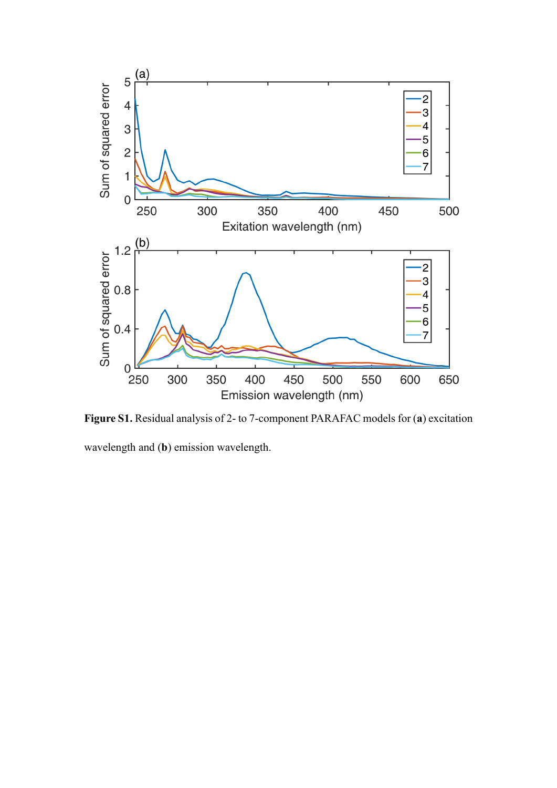

**Figure S1.** Residual analysis of 2- to 7-component PARAFAC models for (**a**) excitation

wavelength and (**b**) emission wavelength.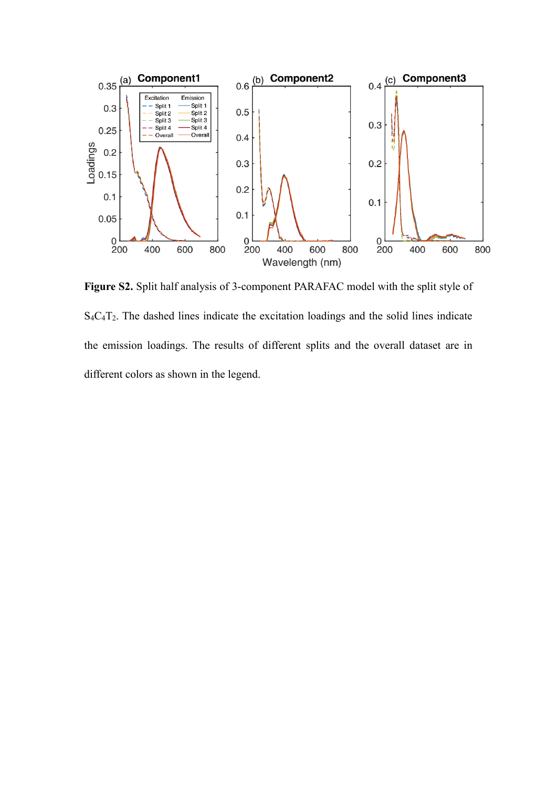

**Figure S2.** Split half analysis of 3-component PARAFAC model with the split style of S4C4T2. The dashed lines indicate the excitation loadings and the solid lines indicate the emission loadings. The results of different splits and the overall dataset are in different colors as shown in the legend.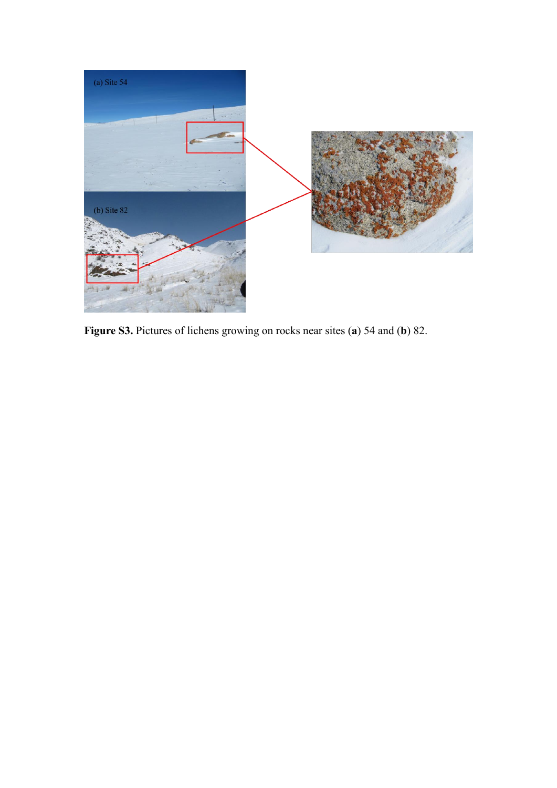

**Figure S3.** Pictures of lichens growing on rocks near sites (**a**) 54 and (**b**) 82.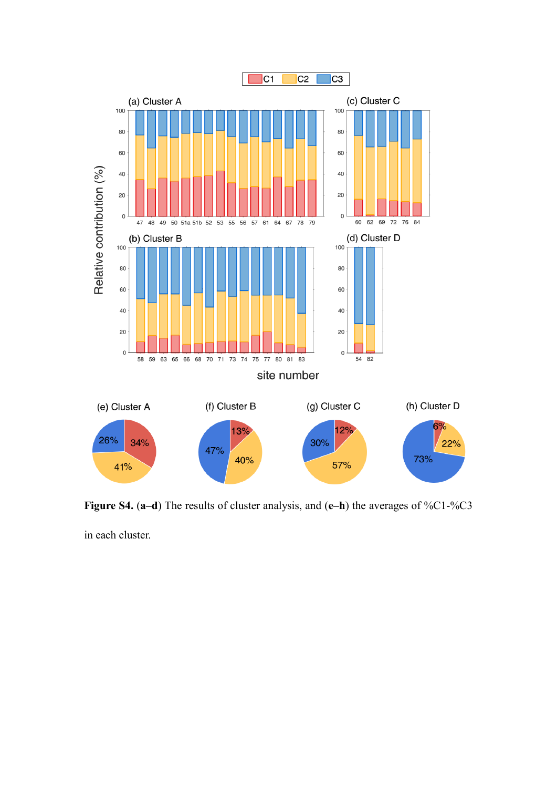

**Figure S4.** (**a–d**) The results of cluster analysis, and (**e–h**) the averages of %C1-%C3

in each cluster.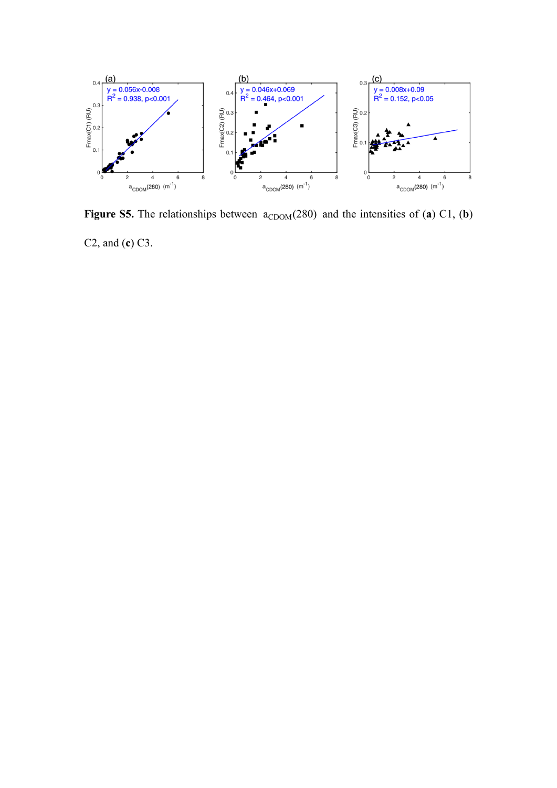

**Figure S5.** The relationships between  $a_{CDOM}(280)$  and the intensities of (a) C1, (b) C2, and (**c**) C3.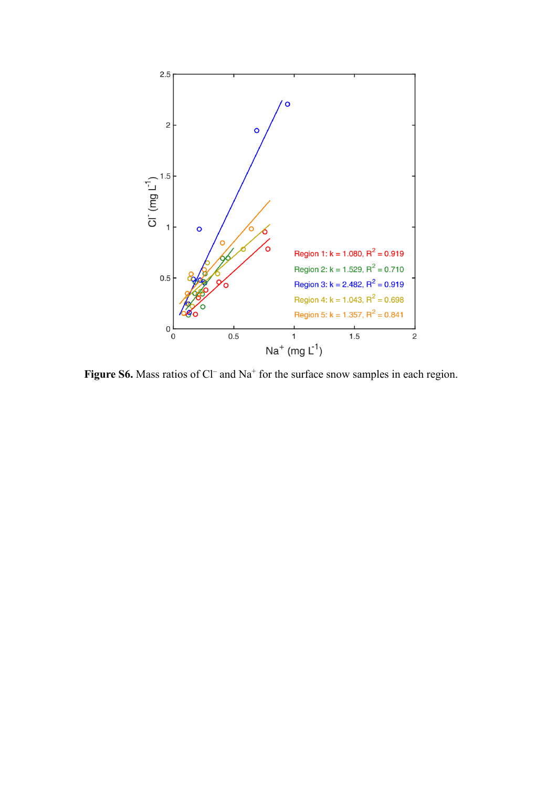![](_page_8_Figure_0.jpeg)

Figure S6. Mass ratios of Cl<sup>-</sup> and Na<sup>+</sup> for the surface snow samples in each region.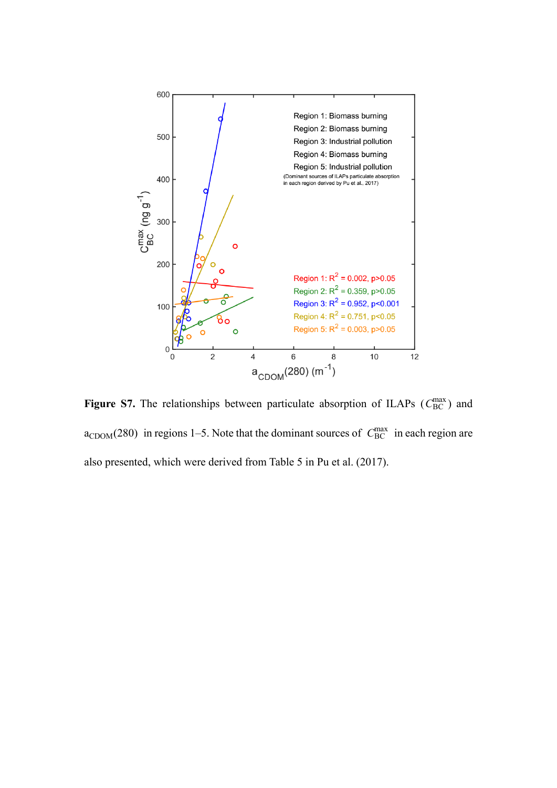![](_page_9_Figure_0.jpeg)

**Figure S7.** The relationships between particulate absorption of ILAPs ( $C_{BC}^{max}$ ) and  $a_{\text{CDOM}}(280)$  in regions 1–5. Note that the dominant sources of  $C_{\text{BC}}^{\text{max}}$  in each region are also presented, which were derived from Table 5 in Pu et al. (2017).